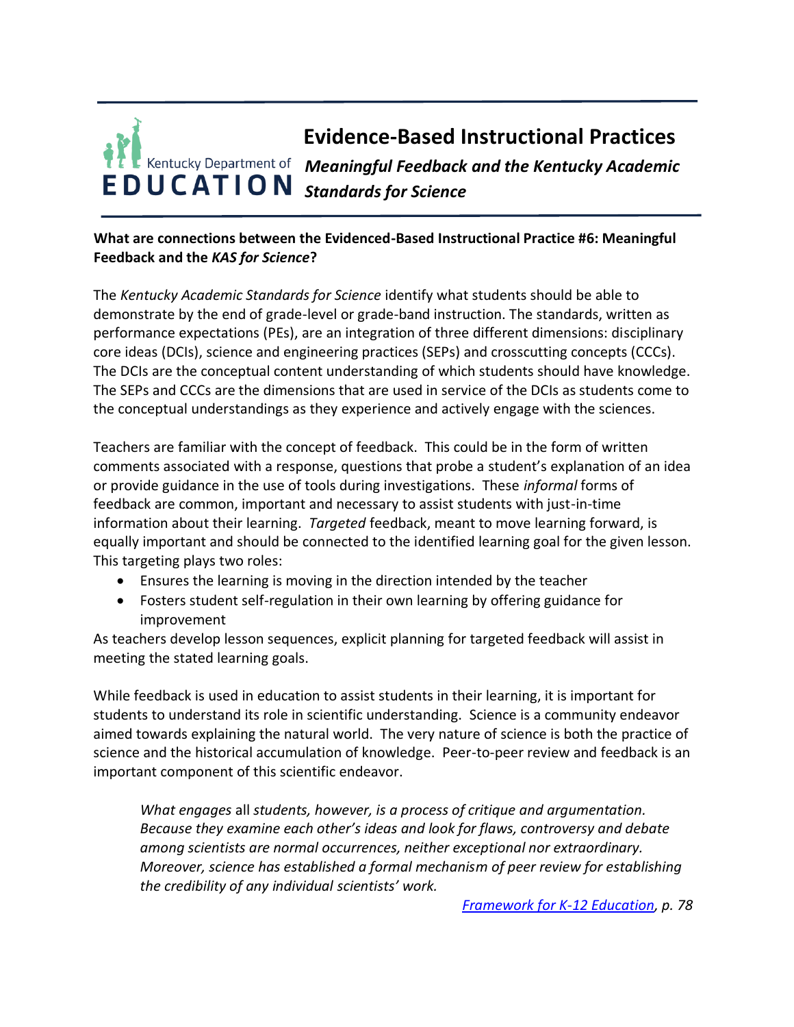## **Evidence-Based Instructional Practices** *Meaningful Feedback and the Kentucky Academic Standards for Science*

## **What are connections between the Evidenced-Based Instructional Practice #6: Meaningful Feedback and the** *KAS for Science***?**

The *Kentucky Academic Standards for Science* identify what students should be able to demonstrate by the end of grade-level or grade-band instruction. The standards, written as performance expectations (PEs), are an integration of three different dimensions: disciplinary core ideas (DCIs), science and engineering practices (SEPs) and crosscutting concepts (CCCs). The DCIs are the conceptual content understanding of which students should have knowledge. The SEPs and CCCs are the dimensions that are used in service of the DCIs as students come to the conceptual understandings as they experience and actively engage with the sciences.

Teachers are familiar with the concept of feedback. This could be in the form of written comments associated with a response, questions that probe a student's explanation of an idea or provide guidance in the use of tools during investigations. These *informal* forms of feedback are common, important and necessary to assist students with just-in-time information about their learning. *Targeted* feedback, meant to move learning forward, is equally important and should be connected to the identified learning goal for the given lesson. This targeting plays two roles:

- Ensures the learning is moving in the direction intended by the teacher
- Fosters student self-regulation in their own learning by offering guidance for improvement

As teachers develop lesson sequences, explicit planning for targeted feedback will assist in meeting the stated learning goals.

While feedback is used in education to assist students in their learning, it is important for students to understand its role in scientific understanding. Science is a community endeavor aimed towards explaining the natural world. The very nature of science is both the practice of science and the historical accumulation of knowledge. Peer-to-peer review and feedback is an important component of this scientific endeavor.

*What engages* all *students, however, is a process of critique and argumentation. Because they examine each other's ideas and look for flaws, controversy and debate among scientists are normal occurrences, neither exceptional nor extraordinary. Moreover, science has established a formal mechanism of peer review for establishing the credibility of any individual scientists' work.*

*[Framework for K-12 Education,](https://www.nap.edu/catalog/13165/a-framework-for-k-12-science-education-practices-crosscutting-concepts) p. 78*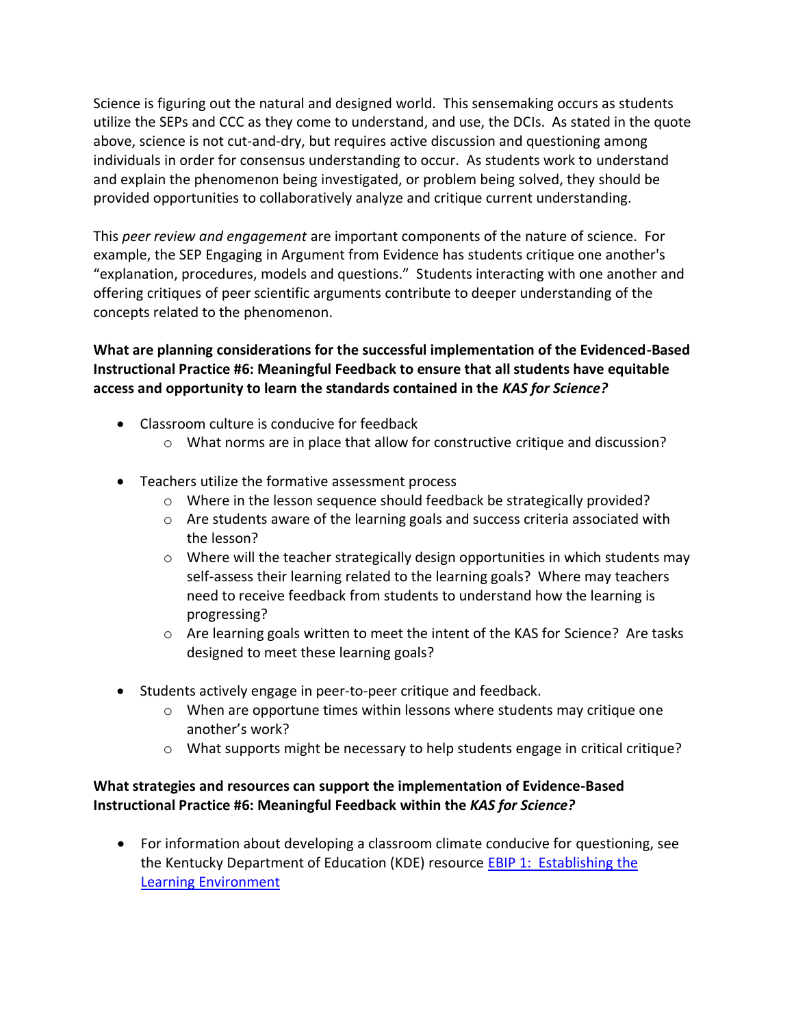Science is figuring out the natural and designed world. This sensemaking occurs as students utilize the SEPs and CCC as they come to understand, and use, the DCIs. As stated in the quote above, science is not cut-and-dry, but requires active discussion and questioning among individuals in order for consensus understanding to occur. As students work to understand and explain the phenomenon being investigated, or problem being solved, they should be provided opportunities to collaboratively analyze and critique current understanding.

This *peer review and engagement* are important components of the nature of science. For example, the SEP Engaging in Argument from Evidence has students critique one another's "explanation, procedures, models and questions." Students interacting with one another and offering critiques of peer scientific arguments contribute to deeper understanding of the concepts related to the phenomenon.

## **What are planning considerations for the successful implementation of the Evidenced-Based Instructional Practice #6: Meaningful Feedback to ensure that all students have equitable access and opportunity to learn the standards contained in the** *KAS for Science?*

- Classroom culture is conducive for feedback
	- o What norms are in place that allow for constructive critique and discussion?
- Teachers utilize the formative assessment process
	- $\circ$  Where in the lesson sequence should feedback be strategically provided?
	- $\circ$  Are students aware of the learning goals and success criteria associated with the lesson?
	- $\circ$  Where will the teacher strategically design opportunities in which students may self-assess their learning related to the learning goals? Where may teachers need to receive feedback from students to understand how the learning is progressing?
	- o Are learning goals written to meet the intent of the KAS for Science? Are tasks designed to meet these learning goals?
- Students actively engage in peer-to-peer critique and feedback.
	- $\circ$  When are opportune times within lessons where students may critique one another's work?
	- o What supports might be necessary to help students engage in critical critique?

## **What strategies and resources can support the implementation of Evidence-Based Instructional Practice #6: Meaningful Feedback within the** *KAS for Science?*

• For information about developing a classroom climate conducive for questioning, see the Kentucky Department of Education (KDE) resource [EBIP 1: Establishing the](https://kystandards.org/standards-resources/pl-mods/evidence-based-instructional-practices-ebips/) [Learning Environment](https://kystandards.org/standards-resources/pl-mods/evidence-based-instructional-practices-ebips/)